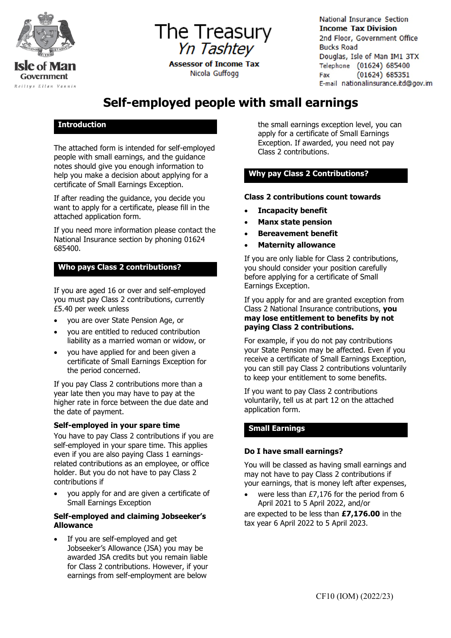

**The Treasury**  Yn Tashtey

> **Assessor of Income Tax** Nicola Guffogg

National Insurance Section **Income Tax Division**  2nd Floor, Government Office Bucks Road Douglas, Isle of Man IMl 3TX Telephone (01624) 685400 Fax (01624 ) 685351 E-mail nationalinsurance.itd@gov.im

# **Self-employed people with small earnings**

# **Introduction**

The attached form is intended for self-employed people with small earnings, and the guidance notes should give you enough information to help you make a decision about applying for a certificate of Small Earnings Exception.

If after reading the guidance, you decide you want to apply for a certificate, please fill in the attached application form.

If you need more information please contact the National Insurance section by phoning 01624 685400.

# **Who pays Class 2 contributions?**

If you are aged 16 or over and self-employed you must pay Class 2 contributions, currently £5.40 per week unless

- you are over State Pension Age, or
- you are entitled to reduced contribution liability as a married woman or widow, or
- you have applied for and been given a certificate of Small Earnings Exception for the period concerned.

If you pay Class 2 contributions more than a year late then you may have to pay at the higher rate in force between the due date and the date of payment.

#### **Self-employed in your spare time**

You have to pay Class 2 contributions if you are self-employed in your spare time. This applies even if you are also paying Class 1 earningsrelated contributions as an employee, or office holder. But you do not have to pay Class 2 contributions if

• you apply for and are given a certificate of Small Earnings Exception

## **Self-employed and claiming Jobseeker's Allowance**

If you are self-employed and get Jobseeker's Allowance (JSA) you may be awarded JSA credits but you remain liable for Class 2 contributions. However, if your earnings from self-employment are below

the small earnings exception level, you can apply for a certificate of Small Earnings Exception. If awarded, you need not pay Class 2 contributions.

# **Why pay Class 2 Contributions?**

## **Class 2 contributions count towards**

- **Incapacity benefit**
- **Manx state pension**
- **Bereavement benefit**
- **Maternity allowance**

If you are only liable for Class 2 contributions, you should consider your position carefully before applying for a certificate of Small Earnings Exception.

If you apply for and are granted exception from Class 2 National Insurance contributions, **you may lose entitlement to benefits by not paying Class 2 contributions.**

For example, if you do not pay contributions your State Pension may be affected. Even if you receive a certificate of Small Earnings Exception, you can still pay Class 2 contributions voluntarily to keep your entitlement to some benefits.

If you want to pay Class 2 contributions voluntarily, tell us at part 12 on the attached application form.

# **Small Earnings**

# **Do I have small earnings?**

You will be classed as having small earnings and may not have to pay Class 2 contributions if your earnings, that is money left after expenses,

were less than  $£7,176$  for the period from 6 April 2021 to 5 April 2022, and/or

are expected to be less than **£7,176.00** in the tax year 6 April 2022 to 5 April 2023.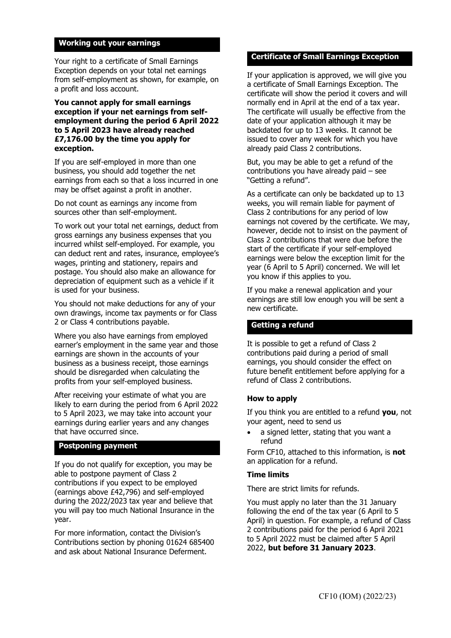#### **Working out your earnings**

Your right to a certificate of Small Earnings Exception depends on your total net earnings from self-employment as shown, for example, on a profit and loss account.

#### **You cannot apply for small earnings exception if your net earnings from selfemployment during the period 6 April 2022 to 5 April 2023 have already reached £7,176.00 by the time you apply for exception.**

If you are self-employed in more than one business, you should add together the net earnings from each so that a loss incurred in one may be offset against a profit in another.

Do not count as earnings any income from sources other than self-employment.

To work out your total net earnings, deduct from gross earnings any business expenses that you incurred whilst self-employed. For example, you can deduct rent and rates, insurance, employee's wages, printing and stationery, repairs and postage. You should also make an allowance for depreciation of equipment such as a vehicle if it is used for your business.

You should not make deductions for any of your own drawings, income tax payments or for Class 2 or Class 4 contributions payable.

Where you also have earnings from employed earner's employment in the same year and those earnings are shown in the accounts of your business as a business receipt, those earnings should be disregarded when calculating the profits from your self-employed business.

After receiving your estimate of what you are likely to earn during the period from 6 April 2022 to 5 April 2023, we may take into account your earnings during earlier years and any changes that have occurred since.

#### **Postponing payment**

If you do not qualify for exception, you may be able to postpone payment of Class 2 contributions if you expect to be employed (earnings above £42,796) and self-employed during the 2022/2023 tax year and believe that you will pay too much National Insurance in the year.

For more information, contact the Division's Contributions section by phoning 01624 685400 and ask about National Insurance Deferment.

#### **Certificate of Small Earnings Exception**

If your application is approved, we will give you a certificate of Small Earnings Exception. The certificate will show the period it covers and will normally end in April at the end of a tax year. The certificate will usually be effective from the date of your application although it may be backdated for up to 13 weeks. It cannot be issued to cover any week for which you have already paid Class 2 contributions.

But, you may be able to get a refund of the contributions you have already paid – see "Getting a refund".

As a certificate can only be backdated up to 13 weeks, you will remain liable for payment of Class 2 contributions for any period of low earnings not covered by the certificate. We may, however, decide not to insist on the payment of Class 2 contributions that were due before the start of the certificate if your self-employed earnings were below the exception limit for the year (6 April to 5 April) concerned. We will let you know if this applies to you.

If you make a renewal application and your earnings are still low enough you will be sent a new certificate.

#### **Getting a refund**

It is possible to get a refund of Class 2 contributions paid during a period of small earnings, you should consider the effect on future benefit entitlement before applying for a refund of Class 2 contributions.

#### **How to apply**

If you think you are entitled to a refund **you**, not your agent, need to send us

• a signed letter, stating that you want a refund

Form CF10, attached to this information, is **not** an application for a refund.

#### **Time limits**

There are strict limits for refunds.

You must apply no later than the 31 January following the end of the tax year (6 April to 5 April) in question. For example, a refund of Class 2 contributions paid for the period 6 April 2021 to 5 April 2022 must be claimed after 5 April 2022, **but before 31 January 2023**.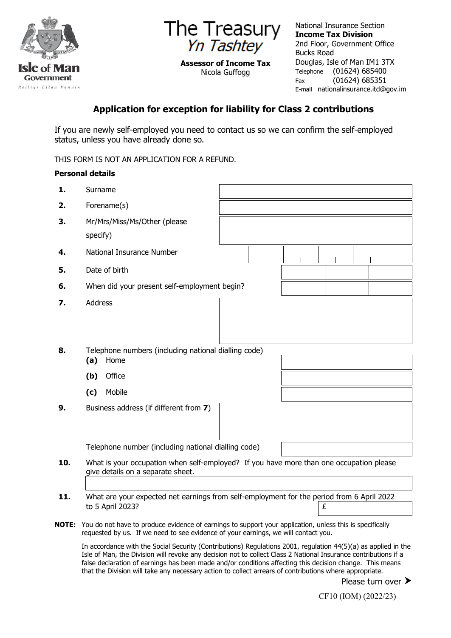

**The Treasury**  Yn Tashtey

**Assessor of Income Tax** Nicola Guffogg

National Insurance Section **Income Tax Division** 2nd Floor, Government Office Bucks Road Douglas, Isle of Man IM1 3TX Telephone (01624) 685400<br>Fax (01624) 685351  $(01624) 685351$ E-mail nationalinsurance.itd@gov.im

# **Application for exception for liability for Class 2 contributions**

If you are newly self-employed you need to contact us so we can confirm the self-employed status, unless you have already done so.

THIS FORM IS NOT AN APPLICATION FOR A REFUND.

# **Personal details**

| 1.    | Surname                                                                                                         |  |  |  |  |  |  |  |
|-------|-----------------------------------------------------------------------------------------------------------------|--|--|--|--|--|--|--|
| 2.    | Forename(s)                                                                                                     |  |  |  |  |  |  |  |
| 3.    | Mr/Mrs/Miss/Ms/Other (please                                                                                    |  |  |  |  |  |  |  |
|       | specify)                                                                                                        |  |  |  |  |  |  |  |
| 4.    | National Insurance Number                                                                                       |  |  |  |  |  |  |  |
| 5.    | Date of birth                                                                                                   |  |  |  |  |  |  |  |
| 6.    | When did your present self-employment begin?                                                                    |  |  |  |  |  |  |  |
| 7.    | <b>Address</b>                                                                                                  |  |  |  |  |  |  |  |
|       |                                                                                                                 |  |  |  |  |  |  |  |
|       |                                                                                                                 |  |  |  |  |  |  |  |
| 8.    | Telephone numbers (including national dialling code)                                                            |  |  |  |  |  |  |  |
|       | (a)<br>Home                                                                                                     |  |  |  |  |  |  |  |
|       | Office<br>(b)                                                                                                   |  |  |  |  |  |  |  |
|       | Mobile<br>(c)                                                                                                   |  |  |  |  |  |  |  |
| 9.    | Business address (if different from 7)                                                                          |  |  |  |  |  |  |  |
|       |                                                                                                                 |  |  |  |  |  |  |  |
|       |                                                                                                                 |  |  |  |  |  |  |  |
|       | Telephone number (including national dialling code)                                                             |  |  |  |  |  |  |  |
| 10.   | What is your occupation when self-employed? If you have more than one occupation please                         |  |  |  |  |  |  |  |
|       | give details on a separate sheet.                                                                               |  |  |  |  |  |  |  |
| 11.   | What are your expected net earnings from self-employment for the period from 6 April 2022                       |  |  |  |  |  |  |  |
|       | to 5 April 2023?<br>£                                                                                           |  |  |  |  |  |  |  |
| NOTE: | You do not have to produce evidence of earnings to support your application, unless this is specifically        |  |  |  |  |  |  |  |
|       | requested by us. If we need to see evidence of your earnings, we will contact you.                              |  |  |  |  |  |  |  |
|       | In accordance with the Social Security (Contributions) Requisions $2001$ requision $44(5)(a)$ as applied in the |  |  |  |  |  |  |  |

 $\epsilon$  with the Social Security (Contributions) Regulations 2001, regulation 44(5)(a) as applied in the Isle of Man, the Division will revoke any decision not to collect Class 2 National Insurance contributions if a false declaration of earnings has been made and/or conditions affecting this decision change. This means that the Division will take any necessary action to collect arrears of contributions where appropriate.

Please turn over >

CF10 (IOM) (2022/23)